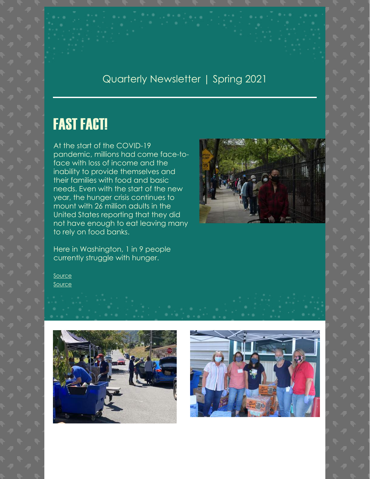#### Quarterly Newsletter | Spring 2021

## FAST FACT!

At the start of the COVID-19 pandemic, millions had come face-toface with loss of income and the inability to provide themselves and their families with food and basic needs. Even with the start of the new year, the hunger crisis continues to mount with 26 million adults in the United States reporting that they did not have enough to eat leaving many to rely on food banks.

Here in Washington, 1 in 9 people currently struggle with hunger.

[Source](https://www.washingtonpost.com/world/2021/01/06/coronavirus-starvation-poverty-inequality-hunger-un/) [Source](https://www.feedingamerica.org/hunger-in-america/washington#:~:text=In%20Washington%2C%20804%2C080%20people%20are,of%20them%20244%2C480%20are%20children.&text=1%20in%207%20children%20struggles,to%20meet%20their%20food%20needs.)





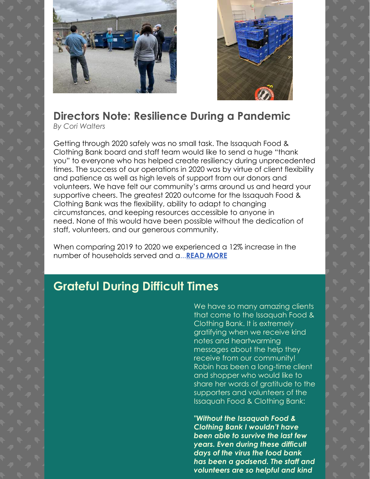



## **Directors Note: Resilience During a Pandemic**

*By Cori Walters*

Getting through 2020 safely was no small task. The Issaquah Food & Clothing Bank board and staff team would like to send a huge "thank you" to everyone who has helped create resiliency during unprecedented times. The success of our operations in 2020 was by virtue of client flexibility and patience as well as high levels of support from our donors and volunteers. We have felt our community's arms around us and heard your supportive cheers. The greatest 2020 outcome for the Issaquah Food & Clothing Bank was the flexibility, ability to adapt to changing circumstances, and keeping resources accessible to anyone in need. None of this would have been possible without the dedication of staff, volunteers, and our generous community.

When comparing 2019 to 2020 we experienced a 12% increase in the number of households served and a...**[READ MORE](https://www.issaquahfoodbank.org/spring-2021-executive-report)**

## **Grateful During Difficult Times**

We have so many amazing clients that come to the Issaquah Food & Clothing Bank. It is extremely gratifying when we receive kind notes and heartwarming messages about the help they receive from our community! Robin has been a long-time client and shopper who would like to share her words of gratitude to the supporters and volunteers of the Issaquah Food & Clothing Bank:

*"Without the Issaquah Food & Clothing Bank I wouldn't have been able to survive the last few years. Even during these difficult days of the virus the food bank has been a godsend. The staff and volunteers are so helpful and kind*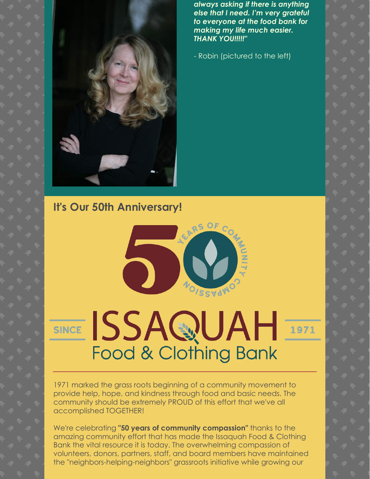*always asking if there is anything else that I need. I'm very grateful to everyone at the food bank for making my life much easier. THANK YOU!!!!!"*

- Robin (pictured to the left)

**It's Our 50th Anniversary!**



# SINCE ISSAQUAH Food & Clothing Bank

1971 marked the grass roots beginning of a community movement to provide help, hope, and kindness through food and basic needs. The community should be extremely PROUD of this effort that we've all accomplished TOGETHER!

We're celebrating **"50 years of community compassion"** thanks to the amazing community effort that has made the Issaquah Food & Clothing Bank the vital resource it is today. The overwhelming compassion of volunteers, donors, partners, staff, and board members have maintained the "neighbors-helping-neighbors" grassroots initiative while growing our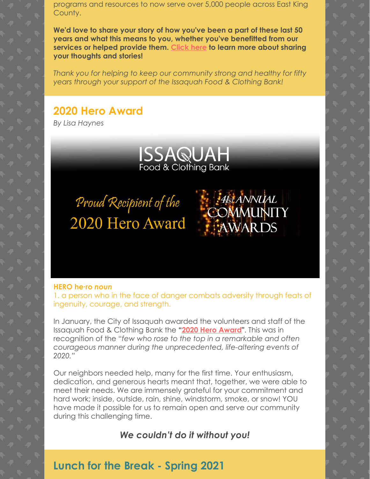programs and resources to now serve over 5,000 people across East King County.

**We'd love to share your story of how you've been a part of these last 50 years and what this means to you, whether you've benefitted from our services or helped provide them. [Click here](https://www.issaquahfoodbank.org/50th-anniversary) to learn more about sharing your thoughts and stories!**

*Thank you for helping to keep our community strong and healthy for fifty years through your support of the Issaquah Food & Clothing Bank!*

#### **2020 Hero Award**

*By Lisa Haynes*



**AREANNUAL**<br>COMMUNITY

WARDS

Proud Recipient of the 2020 Hero Award

#### **HERO he∙ro** *noun*

1. a person who in the face of danger combats adversity through feats of ingenuity, courage, and strength.

In January, the City of Issaquah awarded the volunteers and staff of the Issaquah Food & Clothing Bank the **["2020 Hero Award](https://www.issaquahfoodbank.org/146)"**. This was in recognition of the "*few who rose to the top in a remarkable and often courageous manner during the unprecedented, life-altering events of 2020."*

Our neighbors needed help, many for the first time. Your enthusiasm, dedication, and generous hearts meant that, together, we were able to meet their needs. We are immensely grateful for your commitment and hard work; inside, outside, rain, shine, windstorm, smoke, or snow! YOU have made it possible for us to remain open and serve our community during this challenging time.

*We couldn't do it without you!*

#### **Lunch for the Break - Spring 2021**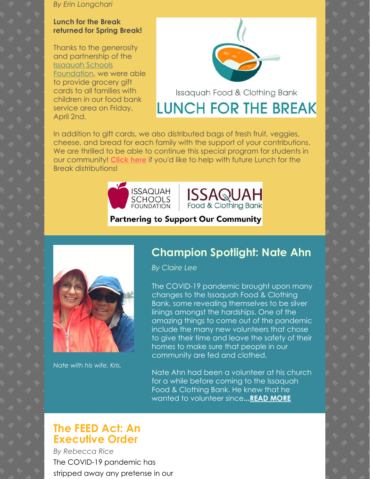*By Erin Longchari*

#### **Lunch for the Break returned for Spring Break!**

Thanks to the generosity and partnership of the Issaquah Schools [Foundation, we w](https://isfdn.org/)ere able to provide grocery gift cards to all families with children in our food bank service area on Friday, April 2nd.



Issaquah Food & Clothing Bank **LUNCH FOR THE BREAK** 

In addition to gift cards, we also distributed bags of fresh fruit, veggies, cheese, and bread for each family with the support of your contributions. We are thrilled to be able to continue this special program for students in our community! **[Click here](https://www.issaquahfoodbank.org/lunchforthebreak)** if you'd like to help with future Lunch for the Break distributions!





#### **Partnering to Support Our Community**



*Nate with his wife, Kris.*

#### **Champion Spotlight: Nate Ahn**

*By Claire Lee*

The COVID-19 pandemic brought upon many changes to the Issaquah Food & Clothing Bank, some revealing themselves to be silver linings amongst the hardships. One of the amazing things to come out of the pandemic include the many new volunteers that chose to give their time and leave the safety of their homes to make sure that people in our community are fed and clothed.

Nate Ahn had been a volunteer at his church for a while before coming to the Issaquah Food & Clothing Bank. He knew that he wanted to volunteer since**..[.READ MORE](https://www.issaquahfoodbank.org/spring-2021-champion-spotlight)**

#### **The FEED Act: An Executive Order**

*By Rebecca Rice* The COVID-19 pandemic has stripped away any pretense in our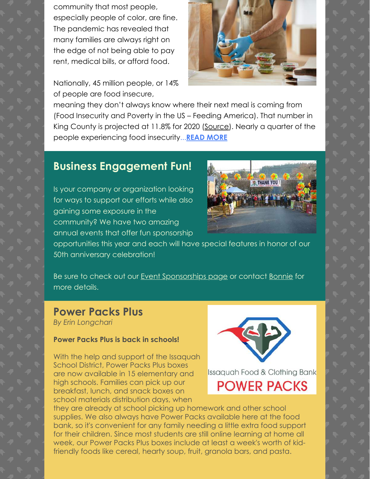community that most people, especially people of color, are fine. The pandemic has revealed that many families are always right on the edge of not being able to pay rent, medical bills, or afford food.

Nationally, 45 million people, or 14% of people are food insecure,



meaning they don't always know where their next meal is coming from (Food Insecurity and Poverty in the US – Feeding America). That number in King County is projected at 11.8% for 2020 [\(Source\)](http://www.feedingamericaaction.org/the-impact-of-coronavirus-on-food-insecurity/). Nearly a quarter of the people experiencing food insecurity...**[READ MORE](https://www.issaquahfoodbank.org/spring-2021-educational-article)**

#### **Business Engagement Fun!**

Is your company or organization looking for ways to support our efforts while also gaining some exposure in the community? We have two amazing annual events that offer fun sponsorship



opportunities this year and each will have special features in honor of our 50th anniversary celebration!

Be sure to check out our [Event Sponsorships page](https://www.issaquahfoodbank.org/event-sponsorships/) or contact [Bonnie](mailto:bonnie@issaquahfoodbank.org) for more details.

#### **Power Packs Plus**

*By Erin Longchari*

#### **Power Packs Plus is back in schools!**

With the help and support of the Issaquah School District, Power Packs Plus boxes are now available in 15 elementary and high schools. Families can pick up our breakfast, lunch, and snack boxes on school materials distribution days, when



Issaquah Food & Clothing Bank

## **POWER PACKS**

they are already at school picking up homework and other school supplies. We also always have Power Packs available here at the food bank, so it's convenient for any family needing a little extra food support for their children. Since most students are still online learning at home all week, our Power Packs Plus boxes include at least a week's worth of kidfriendly foods like cereal, hearty soup, fruit, granola bars, and pasta.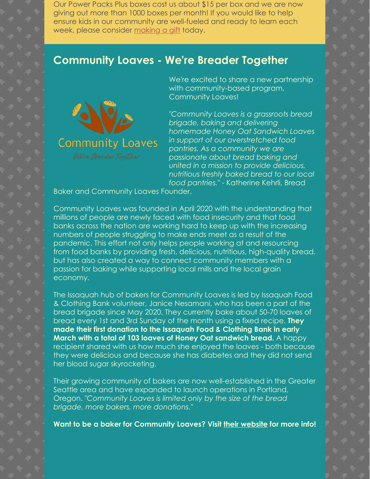Our Power Packs Plus boxes cost us about \$15 per box and we are now giving out more than 1000 boxes per month! If you would like to help ensure kids in our community are well-fueled and ready to learn each week, please consider [making a gift](https://secure.acceptiva.com/?cst=47783f) today.

#### **Community Loaves - We're Breader Together**



We're excited to share a new partnership with community-based program, Community Loaves!

*"Community Loaves is a grassroots bread brigade, baking and delivering homemade Honey Oat Sandwich Loaves in support of our overstretched food pantries. As a community we are passionate about bread baking and united in a mission to provide delicious, nutritious freshly baked bread to our local food pantries."* - Katherine Kehrli, Bread

Baker and Community Loaves Founder.

Community Loaves was founded in April 2020 with the understanding that millions of people are newly faced with food insecurity and that food banks across the nation are working hard to keep up with the increasing numbers of people struggling to make ends meet as a result of the pandemic. This effort not only helps people working at and resourcing from food banks by providing fresh, delicious, nutritious, high-quality bread, but has also created a way to connect community members with a passion for baking while supporting local mills and the local grain economy.

The Issaquah hub of bakers for Community Loaves is led by Issaquah Food & Clothing Bank volunteer, Janice Nesamani, who has been a part of the bread brigade since May 2020. They currently bake about 50-70 loaves of bread every 1st and 3rd Sunday of the month using a fixed recipe. **They made their first donation to the Issaquah Food & Clothing Bank in early March with a total of 103 loaves of Honey Oat sandwich bread.** A happy recipient shared with us how much she enjoyed the loaves - both because they were delicious and because she has diabetes and they did not send her blood sugar skyrocketing.

Their growing community of bakers are now well-established in the Greater Seattle area and have expanded to launch operations in Portland, Oregon. *"Community Loaves is limited only by the size of the bread brigade, more bakers, more donations."*

**Want to be a baker for Community Loaves? Visit [their website](https://communityloaves.org/attend-information-session/) for more info!**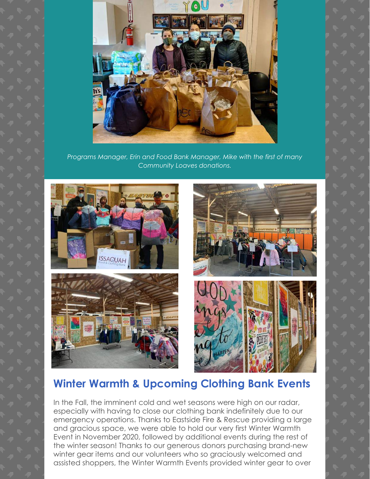

*Programs Manager, Erin and Food Bank Manager, Mike with the first of many Community Loaves donations.*



#### **Winter Warmth & Upcoming Clothing Bank Events**

In the Fall, the imminent cold and wet seasons were high on our radar, especially with having to close our clothing bank indefinitely due to our emergency operations. Thanks to Eastside Fire & Rescue providing a large and gracious space, we were able to hold our very first Winter Warmth Event in November 2020, followed by additional events during the rest of the winter season! Thanks to our generous donors purchasing brand-new winter gear items and our volunteers who so graciously welcomed and assisted shoppers, the Winter Warmth Events provided winter gear to over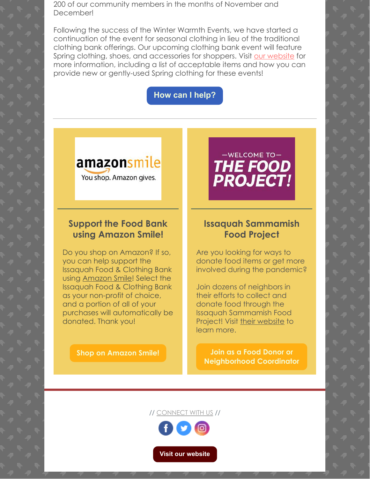200 of our community members in the months of November and December!

Following the success of the Winter Warmth Events, we have started a continuation of the event for seasonal clothing in lieu of the traditional clothing bank offerings. Our upcoming clothing bank event will feature Spring clothing, shoes, and accessories for shoppers. Visit [our website](https://www.issaquahfoodbank.org/clothing-bank-events) for more information, including a list of acceptable items and how you can provide new or gently-used Spring clothing for these events!

**[How can I help?](https://www.issaquahfoodbank.org/clothing-bank-events)**

### amazonsmile

You shop. Amazon gives.

#### **Support the Food Bank using Amazon Smile!**

Do you shop on Amazon? If so, you can help support the Issaquah Food & Clothing Bank using [Amazon Smile](https://smile.amazon.com/)! Select the Issaquah Food & Clothing Bank as your non-profit of choice, and a portion of all of your purchases will automatically be donated. Thank you!

**[Shop on Amazon Smile!](https://smile.amazon.com/)**

## $-WELCOME TO-$ THE FOOD<br>PROJECT!

#### **Issaquah Sammamish Food Project**

Are you looking for ways to donate food items or get more involved during the pandemic?

Join dozens of neighbors in their efforts to collect and donate food through the Issaquah Sammamish Food Project! Visit [their website](https://issaquahsammamishfoodproject.org/) to learn more.

**Join as a Food Donor or [Neighborhood Coordinator](https://issaquahsammamishfoodproject.org/)**

// [CONNECT WITH US](https://www.issaquahfoodbank.org/) //



**[Visit our website](http://www.issaquahfoodbank.org/)**